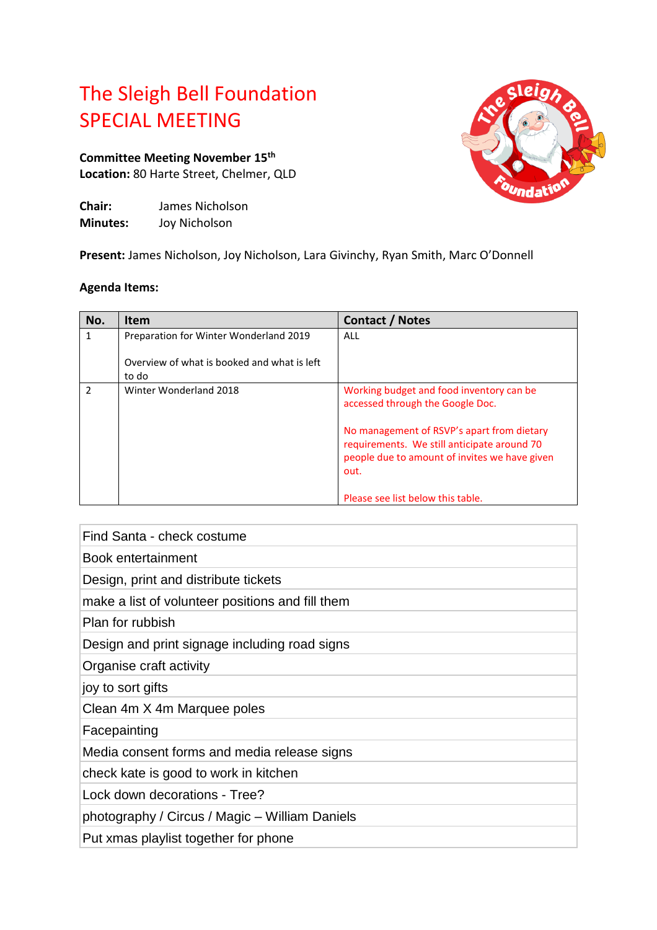## The Sleigh Bell Foundation SPECIAL MEETING

## **Committee Meeting November 15 th Location:** 80 Harte Street, Chelmer, QLD

| Chair:          | James Nicholson |
|-----------------|-----------------|
| <b>Minutes:</b> | Joy Nicholson   |



**Present:** James Nicholson, Joy Nicholson, Lara Givinchy, Ryan Smith, Marc O'Donnell

## **Agenda Items:**

| No.           | <b>Item</b>                                          | Contact / Notes                                                                                                                                    |
|---------------|------------------------------------------------------|----------------------------------------------------------------------------------------------------------------------------------------------------|
|               | Preparation for Winter Wonderland 2019               | ALL                                                                                                                                                |
|               | Overview of what is booked and what is left<br>to do |                                                                                                                                                    |
| $\mathfrak z$ | Winter Wonderland 2018                               | Working budget and food inventory can be<br>accessed through the Google Doc.                                                                       |
|               |                                                      | No management of RSVP's apart from dietary<br>requirements. We still anticipate around 70<br>people due to amount of invites we have given<br>out. |
|               |                                                      | Please see list below this table.                                                                                                                  |

Find Santa - check costume

Book entertainment

Design, print and distribute tickets

make a list of volunteer positions and fill them

Plan for rubbish

Design and print signage including road signs

Organise craft activity

joy to sort gifts

Clean 4m X 4m Marquee poles

Facepainting

Media consent forms and media release signs

check kate is good to work in kitchen

Lock down decorations - Tree?

photography / Circus / Magic – William Daniels

Put xmas playlist together for phone